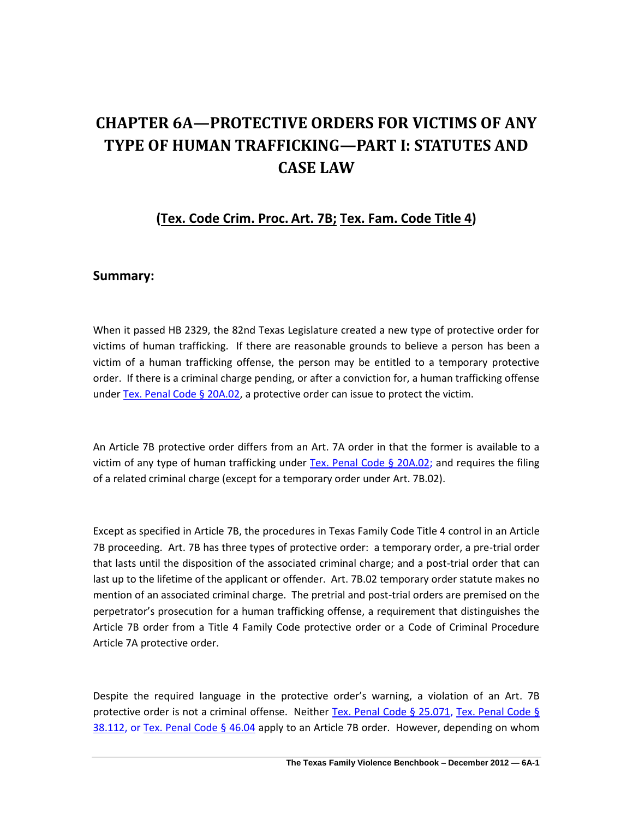# **CHAPTER 6A—PROTECTIVE ORDERS FOR VICTIMS OF ANY TYPE OF HUMAN TRAFFICKING—PART I: STATUTES AND CASE LAW**

## **(Tex. Code Crim. Proc. Art. 7B; Tex. Fam. Code Title 4)**

### **Summary:**

When it passed HB 2329, the 82nd Texas Legislature created a new type of protective order for victims of human trafficking. If there are reasonable grounds to believe a person has been a victim of a human trafficking offense, the person may be entitled to a temporary protective order. If there is a criminal charge pending, or after a conviction for, a human trafficking offense under [Tex. Penal Code § 20A.02,](http://www.lexis.com/research/xlink?app=00075&view=full&searchtype=lt&search=Tex.+Penal+Code+%A7+20A.02) a protective order can issue to protect the victim.

An Article 7B protective order differs from an Art. 7A order in that the former is available to a victim of any type of human trafficking under [Tex. Penal Code § 20A.02;](http://www.lexis.com/research/xlink?app=00075&view=full&searchtype=lt&search=Tex.+Penal+Code+%A7+20A.02) and requires the filing of a related criminal charge (except for a temporary order under Art. 7B.02).

Except as specified in Article 7B, the procedures in Texas Family Code Title 4 control in an Article 7B proceeding. Art. 7B has three types of protective order: a temporary order, a pre-trial order that lasts until the disposition of the associated criminal charge; and a post-trial order that can last up to the lifetime of the applicant or offender. Art. 7B.02 temporary order statute makes no mention of an associated criminal charge. The pretrial and post-trial orders are premised on the perpetrator's prosecution for a human trafficking offense, a requirement that distinguishes the Article 7B order from a Title 4 Family Code protective order or a Code of Criminal Procedure Article 7A protective order.

Despite the required language in the protective order's warning, a violation of an Art. 7B protective order is not a criminal offense. Neither [Tex. Penal Code § 25.071,](http://www.lexis.com/research/slft?cite=54582050656E616C20436F646520A72032352E303731&keyenum=15452&keytnum=0) [Tex. Penal Code](http://www.lexis.com/research/xlink?app=00075&view=full&searchtype=lt&search=Tex.+penal+Code+%A7+38.112) § [38.112,](http://www.lexis.com/research/xlink?app=00075&view=full&searchtype=lt&search=Tex.+penal+Code+%A7+38.112) or [Tex. Penal Code § 46.04](http://www.lexis.com/research/xlink?app=00075&view=full&searchtype=lt&search=Tex.+Penal+Code+%A7+46.04) apply to an Article 7B order. However, depending on whom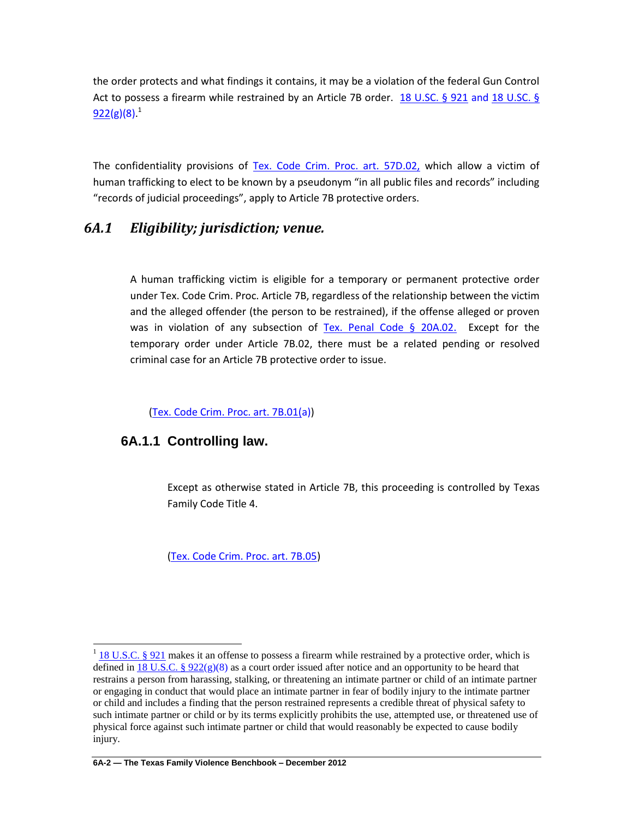the order protects and what findings it contains, it may be a violation of the federal Gun Control Act to possess a firearm while restrained by an Article 7B order. [18 U.SC. §](http://www.lexis.com/research/xlink?app=00075&view=full&searchtype=lt&search=18+USCS+prec+%A7+921) 921 and 18 U.SC. §  $922($ g $)(8)^{1}$ 

The confidentiality provisions of [Tex. Code Crim. Proc. art. 57D.02,](http://www.lexis.com/research/xlink?app=00075&view=full&searchtype=lt&search=Tex.+Code+Crim.+Proc.+art.+57D.02) which allow a victim of human trafficking to elect to be known by a pseudonym "in all public files and records" including "records of judicial proceedings", apply to Article 7B protective orders.

## *6A.1 Eligibility; jurisdiction; venue.*

A human trafficking victim is eligible for a temporary or permanent protective order under Tex. Code Crim. Proc. Article 7B, regardless of the relationship between the victim and the alleged offender (the person to be restrained), if the offense alleged or proven was in violation of any subsection of [Tex. Penal Code § 20A.02.](http://www.lexis.com/research/xlink?app=00075&view=full&searchtype=lt&search=Tex.+Penal+Code+%A7+20A.02) Except for the temporary order under Article 7B.02, there must be a related pending or resolved criminal case for an Article 7B protective order to issue.

[\(Tex. Code Crim. Proc. art. 7B.01\(a](http://www.lexis.com/research/xlink?app=00075&view=full&searchtype=lt&search=Tex.+Code+Crim.+Proc.+art.+7B.01)))

### **6A.1.1 Controlling law.**

Except as otherwise stated in Article 7B, this proceeding is controlled by Texas Family Code Title 4.

[\(Tex. Code Crim. Proc. art. 7B.05\)](http://www.lexis.com/research/xlink?app=00075&view=full&searchtype=lt&search=Tex.+Code+Crim.+Proc.+art.+7B.05)

<sup>&</sup>lt;sup>1</sup> [18 U.S.C. § 921](http://www.lexis.com/research/slft?cite=31382055534320A720393231&keyenum=15452&keytnum=0) makes it an offense to possess a firearm while restrained by a protective order, which is defined in 18 U.S.C. §  $922(g)(8)$  as a court order issued after notice and an opportunity to be heard that restrains a person from harassing, stalking, or threatening an intimate partner or child of an intimate partner or engaging in conduct that would place an intimate partner in fear of bodily injury to the intimate partner or child and includes a finding that the person restrained represents a credible threat of physical safety to such intimate partner or child or by its terms explicitly prohibits the use, attempted use, or threatened use of physical force against such intimate partner or child that would reasonably be expected to cause bodily injury.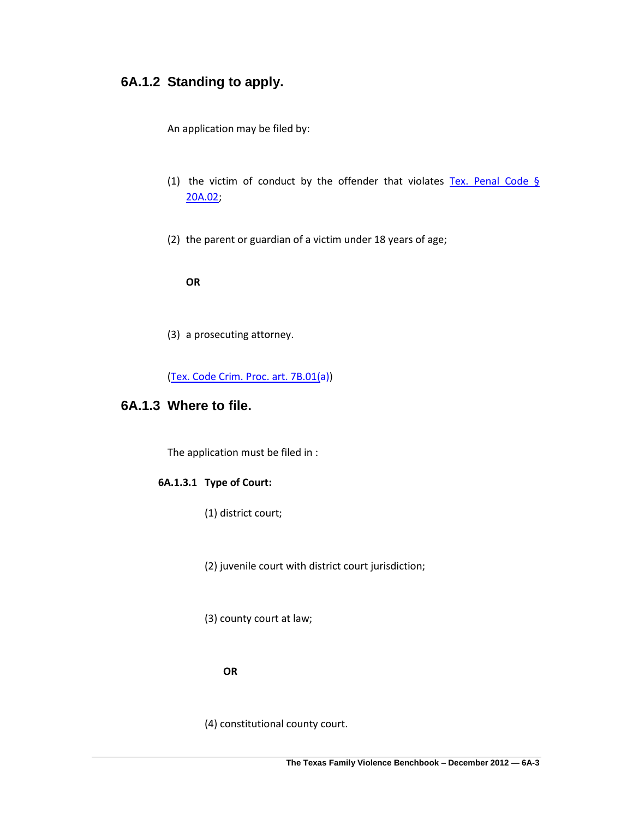## **6A.1.2 Standing to apply.**

An application may be filed by:

- (1) the victim of conduct by the offender that violates Tex. Penal Code  $\S$ [20A.02;](http://www.lexis.com/research/xlink?app=00075&view=full&searchtype=lt&search=Tex.+Penal+Code+%A7+20A.02)
- (2) the parent or guardian of a victim under 18 years of age;

**OR**

(3) a prosecuting attorney.

[\(Tex. Code Crim. Proc. art. 7B.01\(a](http://www.lexis.com/research/xlink?app=00075&view=full&searchtype=lt&search=Tex.+Code+Crim.+Proc.+art.+7B.01)))

## **6A.1.3 Where to file.**

The application must be filed in :

### **6A.1.3.1 Type of Court:**

(1) district court;

(2) juvenile court with district court jurisdiction;

(3) county court at law;

#### **OR**

(4) constitutional county court.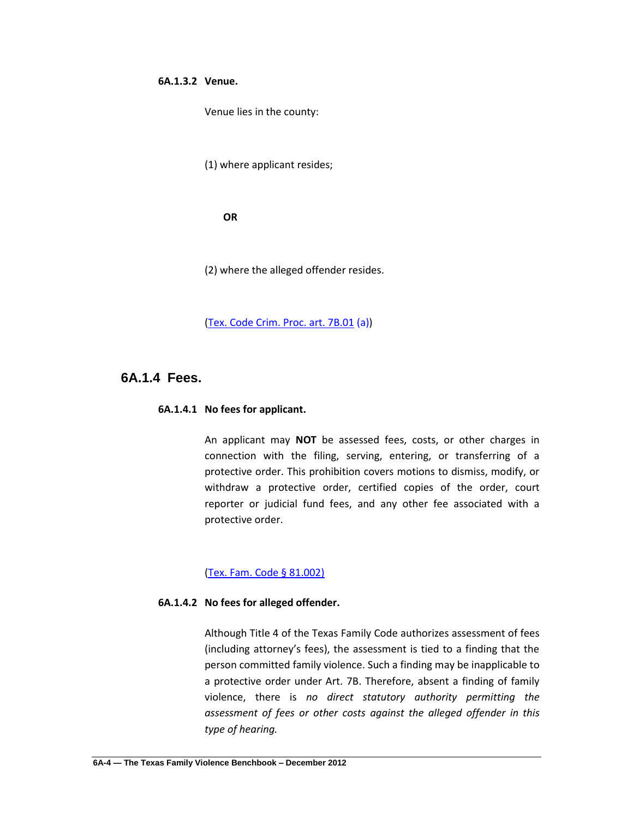#### **6A.1.3.2 Venue.**

Venue lies in the county:

(1) where applicant resides;

**OR**

(2) where the alleged offender resides.

[\(Tex. Code Crim. Proc. art. 7B.01](http://www.lexis.com/research/xlink?app=00075&view=full&searchtype=lt&search=Tex.+Code+Crim.+Proc.+art.+7B.01) (a))

### **6A.1.4 Fees.**

#### **6A.1.4.1 No fees for applicant.**

An applicant may **NOT** be assessed fees, costs, or other charges in connection with the filing, serving, entering, or transferring of a protective order. This prohibition covers motions to dismiss, modify, or withdraw a protective order, certified copies of the order, court reporter or judicial fund fees, and any other fee associated with a protective order.

#### [\(Tex. Fam. Code § 81.002\)](http://www.lexis.com/research/slft?cite=54582046616D696C7920436F646520A72038312E30303229&keyenum=15452&keytnum=0)

#### **6A.1.4.2 No fees for alleged offender.**

Although Title 4 of the Texas Family Code authorizes assessment of fees (including attorney's fees), the assessment is tied to a finding that the person committed family violence. Such a finding may be inapplicable to a protective order under Art. 7B. Therefore, absent a finding of family violence, there is *no direct statutory authority permitting the assessment of fees or other costs against the alleged offender in this type of hearing.*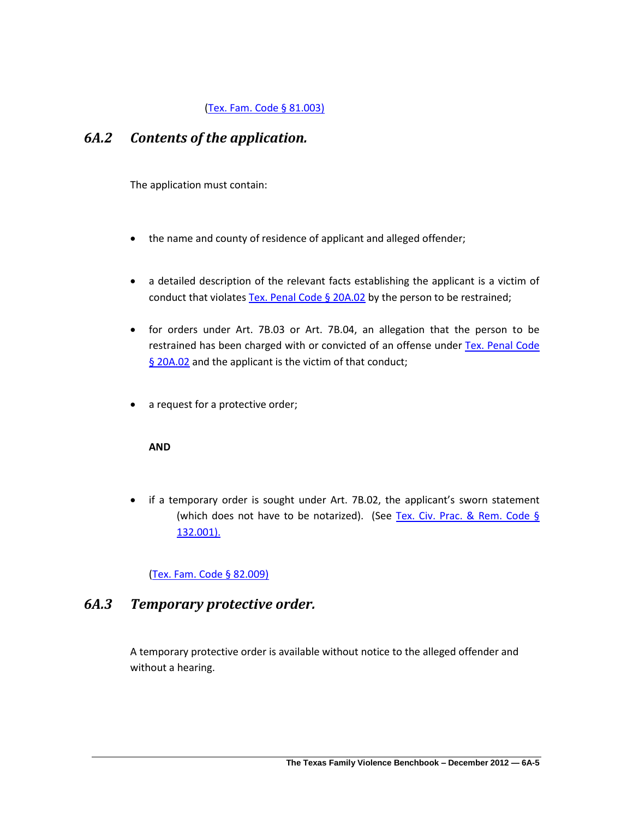### [\(Tex. Fam. Code § 81.003\)](http://www.lexis.com/research/slft?cite=54582046616D696C7920436F646520A72038312E30303329&keyenum=15452&keytnum=0)

## *6A.2 Contents of the application.*

The application must contain:

- the name and county of residence of applicant and alleged offender;
- a detailed description of the relevant facts establishing the applicant is a victim of conduct that violates Tex. Penal Code  $\S$  20A.02 by the person to be restrained;
- for orders under Art. 7B.03 or Art. 7B.04, an allegation that the person to be restrained has been charged with or convicted of an offense under [Tex. Penal Code](http://www.lexis.com/research/xlink?app=00075&view=full&searchtype=lt&search=Tex.+Penal+Code+%A7+20A.02)  [§ 20A.02](http://www.lexis.com/research/xlink?app=00075&view=full&searchtype=lt&search=Tex.+Penal+Code+%A7+20A.02) and the applicant is the victim of that conduct;
- a request for a protective order;

#### **AND**

 if a temporary order is sought under Art. 7B.02, the applicant's sworn statement (which does not have to be notarized). (See [Tex. Civ. Prac. & Rem. Code §](http://www.lexis.com/research/xlink?app=00075&view=full&searchtype=lt&search=Tex.+Civ.+Prac.+%26+Rem.+Code+%A7+132.001)  [132.001\).](http://www.lexis.com/research/xlink?app=00075&view=full&searchtype=lt&search=Tex.+Civ.+Prac.+%26+Rem.+Code+%A7+132.001)

### [\(Tex. Fam. Code § 82.009\)](http://www.lexis.com/research/slft?cite=54582046616D696C7920436F646520A72038322E30303929&keyenum=15452&keytnum=0)

## *6A.3 Temporary protective order.*

A temporary protective order is available without notice to the alleged offender and without a hearing.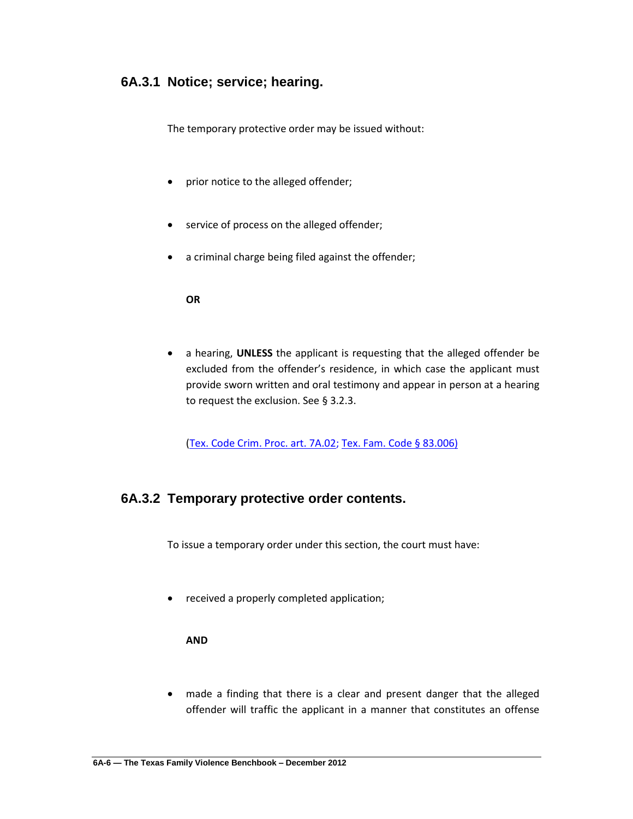### **6A.3.1 Notice; service; hearing.**

The temporary protective order may be issued without:

- prior notice to the alleged offender;
- service of process on the alleged offender;
- a criminal charge being filed against the offender;

**OR**

 a hearing, **UNLESS** the applicant is requesting that the alleged offender be excluded from the offender's residence, in which case the applicant must provide sworn written and oral testimony and appear in person at a hearing to request the exclusion. See § 3.2.3.

[\(Tex. Code Crim. Proc. art. 7A.02;](http://www.lexis.com/research/xlink?app=00075&view=full&searchtype=lt&search=Tex.+Code+Crim.+Proc.+art.+7A.02) [Tex. Fam. Code § 83.006\)](http://www.lexis.com/research/slft?cite=54582046616D696C7920436F646520A72038332E30303629&keyenum=15452&keytnum=0)

### **6A.3.2 Temporary protective order contents.**

To issue a temporary order under this section, the court must have:

received a properly completed application;

#### **AND**

 made a finding that there is a clear and present danger that the alleged offender will traffic the applicant in a manner that constitutes an offense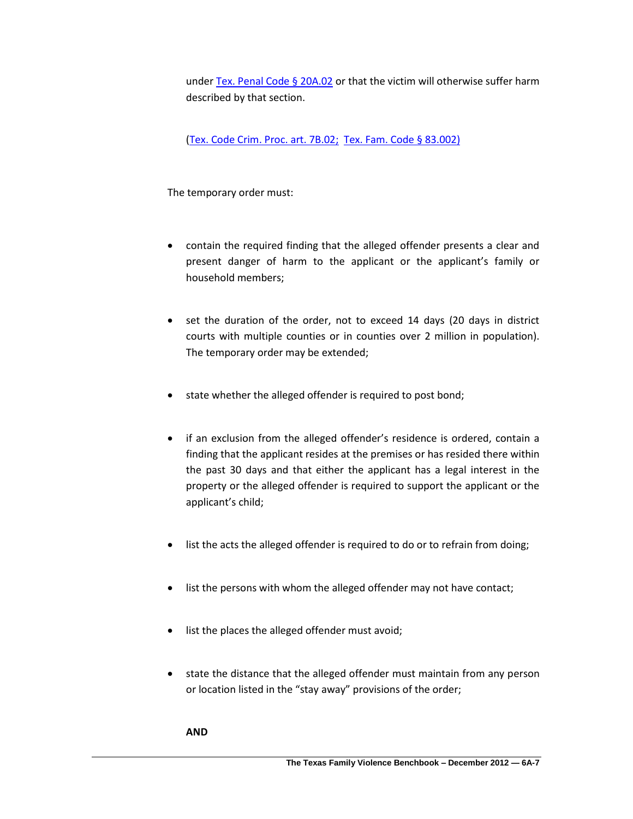under [Tex. Penal Code § 20A.02](http://www.lexis.com/research/xlink?app=00075&view=full&searchtype=lt&search=Tex.+Penal+Code+%A7+20A.02) or that the victim will otherwise suffer harm described by that section.

[\(Tex. Code Crim. Proc. art. 7B.02;](http://www.lexis.com/research/xlink?app=00075&view=full&searchtype=lt&search=Tex.+Code+Crim.+Proc.+art.+7B.02) [Tex. Fam. Code § 83.002\)](http://www.lexis.com/research/slft?cite=54582046616D696C7920436F646520A72038332E30303229&keyenum=15452&keytnum=0)

The temporary order must:

- contain the required finding that the alleged offender presents a clear and present danger of harm to the applicant or the applicant's family or household members;
- set the duration of the order, not to exceed 14 days (20 days in district courts with multiple counties or in counties over 2 million in population). The temporary order may be extended;
- state whether the alleged offender is required to post bond;
- if an exclusion from the alleged offender's residence is ordered, contain a finding that the applicant resides at the premises or has resided there within the past 30 days and that either the applicant has a legal interest in the property or the alleged offender is required to support the applicant or the applicant's child;
- list the acts the alleged offender is required to do or to refrain from doing;
- list the persons with whom the alleged offender may not have contact;
- list the places the alleged offender must avoid;
- state the distance that the alleged offender must maintain from any person or location listed in the "stay away" provisions of the order;

**AND**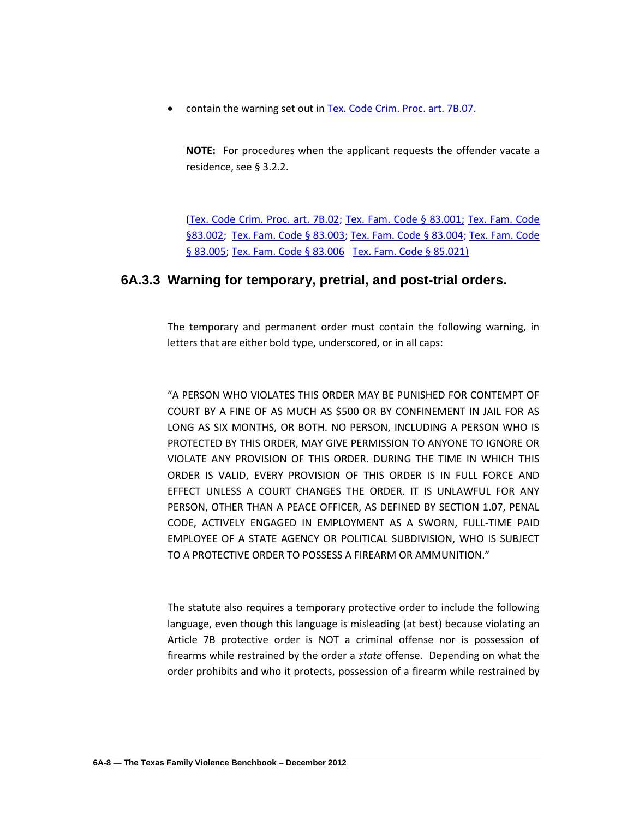contain the warning set out i[n Tex. Code Crim. Proc. art. 7B.07.](http://www.lexis.com/research/xlink?app=00075&view=full&searchtype=lt&search=Tex.+Code+Crim.+Proc.+art.+7B.07)

**NOTE:** For procedures when the applicant requests the offender vacate a residence, see § 3.2.2.

[\(Tex. Code Crim. Proc. art. 7B.02;](http://www.lexis.com/research/xlink?app=00075&view=full&searchtype=lt&search=Tex.+Code+Crim.+Proc.+art.+7B.02) [Tex. Fam. Code § 83.001;](http://www.lexis.com/research/xlink?app=00075&view=full&searchtype=lt&search=Tex.+Fam.+Code+%A7+83.002) Tex. Fam. Code [§83.002;](http://www.lexis.com/research/xlink?app=00075&view=full&searchtype=lt&search=Tex.+Fam.+Code+%A7+83.002) [Tex. Fam. Code § 83.003;](http://www.lexis.com/research/xlink?app=00075&view=full&searchtype=lt&search=Tex.+Fam.+Code+%A7+83.003) [Tex. Fam. Code § 83.004;](http://www.lexis.com/research/xlink?app=00075&view=full&searchtype=lt&search=Tex.+Fam.+Code+%A7+83.004) Tex. Fam. Code [§ 83.005;](http://www.lexis.com/research/xlink?app=00075&view=full&searchtype=lt&search=Tex.+Fam.+Code+%A7+83.005) [Tex. Fam. Code § 83.006](http://www.lexis.com/research/xlink?app=00075&view=full&searchtype=lt&search=Tex.+Fam.+Code+%A7+83.006) [Tex. Fam. Code § 85.021\)](http://www.lexis.com/research/slft?cite=54582046616D696C7920436F646520A72038352E30323129&keyenum=15452&keytnum=0)

### **6A.3.3 Warning for temporary, pretrial, and post-trial orders.**

The temporary and permanent order must contain the following warning, in letters that are either bold type, underscored, or in all caps:

"A PERSON WHO VIOLATES THIS ORDER MAY BE PUNISHED FOR CONTEMPT OF COURT BY A FINE OF AS MUCH AS \$500 OR BY CONFINEMENT IN JAIL FOR AS LONG AS SIX MONTHS, OR BOTH. NO PERSON, INCLUDING A PERSON WHO IS PROTECTED BY THIS ORDER, MAY GIVE PERMISSION TO ANYONE TO IGNORE OR VIOLATE ANY PROVISION OF THIS ORDER. DURING THE TIME IN WHICH THIS ORDER IS VALID, EVERY PROVISION OF THIS ORDER IS IN FULL FORCE AND EFFECT UNLESS A COURT CHANGES THE ORDER. IT IS UNLAWFUL FOR ANY PERSON, OTHER THAN A PEACE OFFICER, AS DEFINED BY SECTION 1.07, PENAL CODE, ACTIVELY ENGAGED IN EMPLOYMENT AS A SWORN, FULL-TIME PAID EMPLOYEE OF A STATE AGENCY OR POLITICAL SUBDIVISION, WHO IS SUBJECT TO A PROTECTIVE ORDER TO POSSESS A FIREARM OR AMMUNITION."

The statute also requires a temporary protective order to include the following language, even though this language is misleading (at best) because violating an Article 7B protective order is NOT a criminal offense nor is possession of firearms while restrained by the order a *state* offense. Depending on what the order prohibits and who it protects, possession of a firearm while restrained by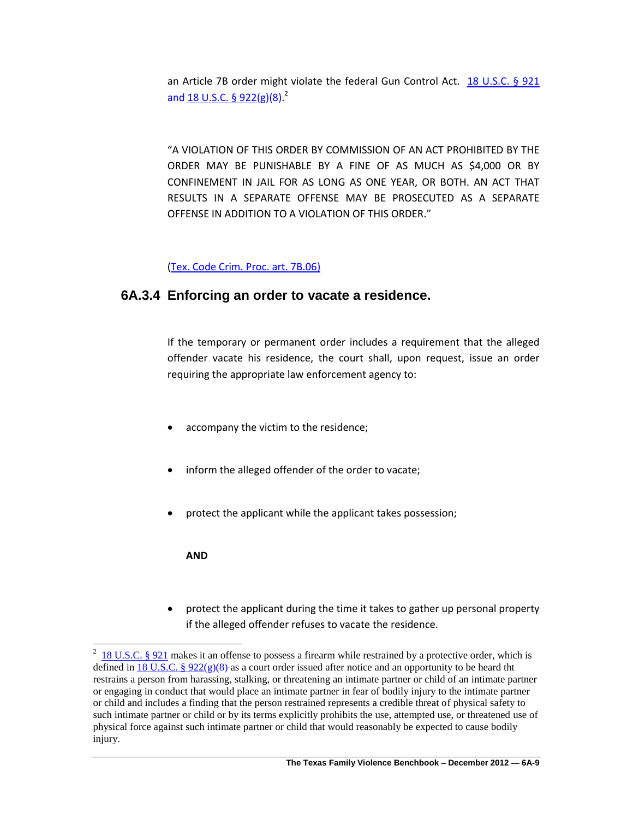an Article 7B order might violate the federal Gun Control Act. [18 U.S.C. § 921](http://www.lexis.com/research/slft?cite=31382055534320A7A720393231&keyenum=15452&keytnum=0) and 18 U.S.C.  $\S 922(g)(8)^2$ 

"A VIOLATION OF THIS ORDER BY COMMISSION OF AN ACT PROHIBITED BY THE ORDER MAY BE PUNISHABLE BY A FINE OF AS MUCH AS \$4,000 OR BY CONFINEMENT IN JAIL FOR AS LONG AS ONE YEAR, OR BOTH. AN ACT THAT RESULTS IN A SEPARATE OFFENSE MAY BE PROSECUTED AS A SEPARATE OFFENSE IN ADDITION TO A VIOLATION OF THIS ORDER."

#### [\(Tex. Code Crim. Proc. art. 7B.06\)](http://www.lexis.com/research/xlink?app=00075&view=full&searchtype=lt&search=Tex.+Code+crim.+Proc.+art.+7B.06)

### **6A.3.4 Enforcing an order to vacate a residence.**

If the temporary or permanent order includes a requirement that the alleged offender vacate his residence, the court shall, upon request, issue an order requiring the appropriate law enforcement agency to:

- accompany the victim to the residence;
- inform the alleged offender of the order to vacate;
- protect the applicant while the applicant takes possession;

#### **AND**

 protect the applicant during the time it takes to gather up personal property if the alleged offender refuses to vacate the residence.

<sup>&</sup>lt;sup>2</sup> [18 U.S.C. § 921](http://www.lexis.com/research/xlink?app=00075&view=full&searchtype=lt&search=18+USCS+prec+%A7+921) makes it an offense to possess a firearm while restrained by a protective order, which is defined in 18 U.S.C. §  $922(g)(8)$  as a court order issued after notice and an opportunity to be heard tht restrains a person from harassing, stalking, or threatening an intimate partner or child of an intimate partner or engaging in conduct that would place an intimate partner in fear of bodily injury to the intimate partner or child and includes a finding that the person restrained represents a credible threat of physical safety to such intimate partner or child or by its terms explicitly prohibits the use, attempted use, or threatened use of physical force against such intimate partner or child that would reasonably be expected to cause bodily injury.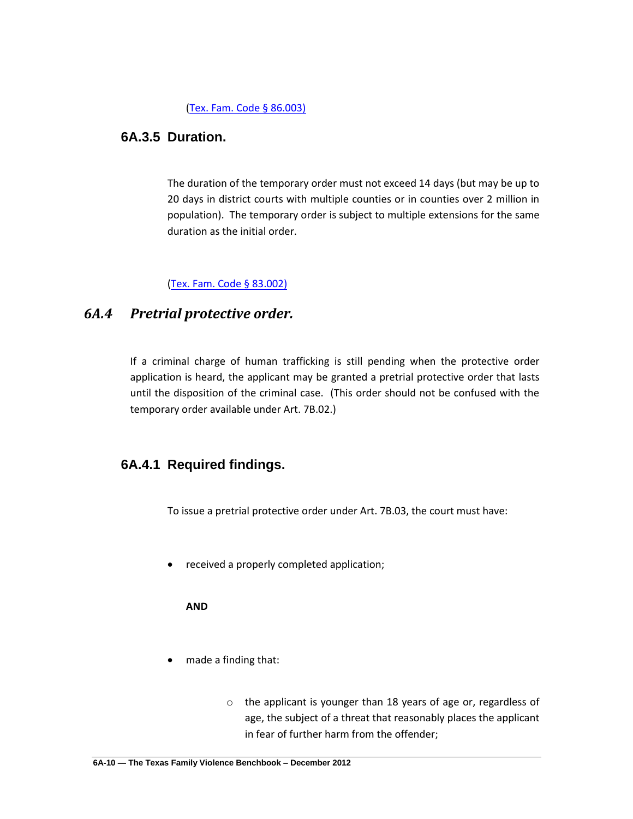#### [\(Tex. Fam. Code § 86.003\)](http://www.lexis.com/research/slft?cite=54582046616D696C7920436F646520A72038362E30303329&keyenum=15452&keytnum=0)

### **6A.3.5 Duration.**

The duration of the temporary order must not exceed 14 days (but may be up to 20 days in district courts with multiple counties or in counties over 2 million in population). The temporary order is subject to multiple extensions for the same duration as the initial order.

### [\(Tex. Fam. Code § 83.002\)](http://www.lexis.com/research/slft?cite=54582046616D696C7920436F646520A72038332E30303229&keyenum=15452&keytnum=0)

### *6A.4 Pretrial protective order.*

If a criminal charge of human trafficking is still pending when the protective order application is heard, the applicant may be granted a pretrial protective order that lasts until the disposition of the criminal case. (This order should not be confused with the temporary order available under Art. 7B.02.)

### **6A.4.1 Required findings.**

To issue a pretrial protective order under Art. 7B.03, the court must have:

received a properly completed application;

**AND**

- made a finding that:
	- o the applicant is younger than 18 years of age or, regardless of age, the subject of a threat that reasonably places the applicant in fear of further harm from the offender;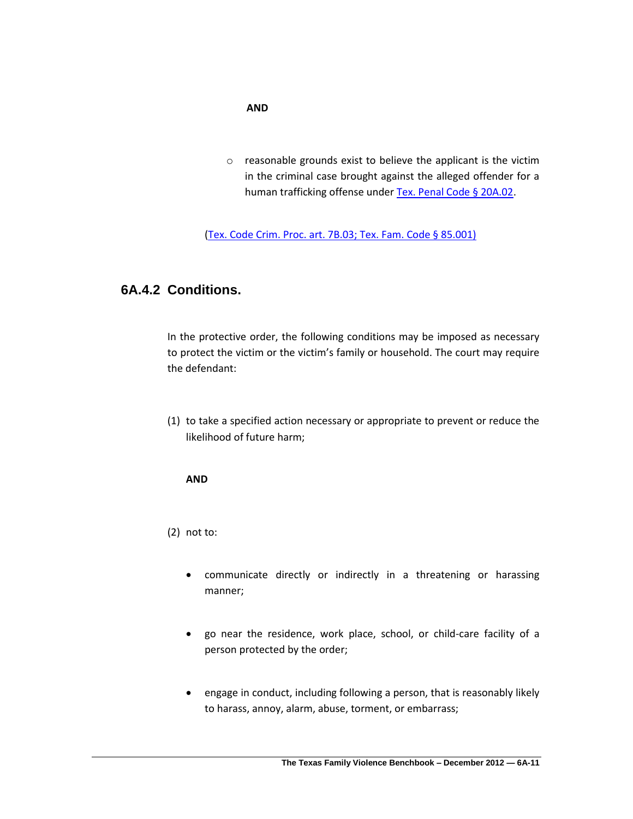#### **AND**

o reasonable grounds exist to believe the applicant is the victim in the criminal case brought against the alleged offender for a human trafficking offense unde[r Tex. Penal Code § 20A.02.](http://www.lexis.com/research/xlink?app=00075&view=full&searchtype=lt&search=Tex.+Penal+Code+%A7+20A.02)

[\(Tex. Code Crim. Proc. art. 7B.03;](http://www.lexis.com/research/xlink?app=00075&view=full&searchtype=lt&search=Tex.+Code+Crim.+Proc.+art.+7B.03) [Tex. Fam. Code § 85.001\)](http://www.lexis.com/research/slft?cite=54582046616D696C7920436F646520A72038352E30303129&keyenum=15452&keytnum=0)

### **6A.4.2 Conditions.**

In the protective order, the following conditions may be imposed as necessary to protect the victim or the victim's family or household. The court may require the defendant:

(1) to take a specified action necessary or appropriate to prevent or reduce the likelihood of future harm;

#### **AND**

(2) not to:

- communicate directly or indirectly in a threatening or harassing manner;
- go near the residence, work place, school, or child-care facility of a person protected by the order;
- engage in conduct, including following a person, that is reasonably likely to harass, annoy, alarm, abuse, torment, or embarrass;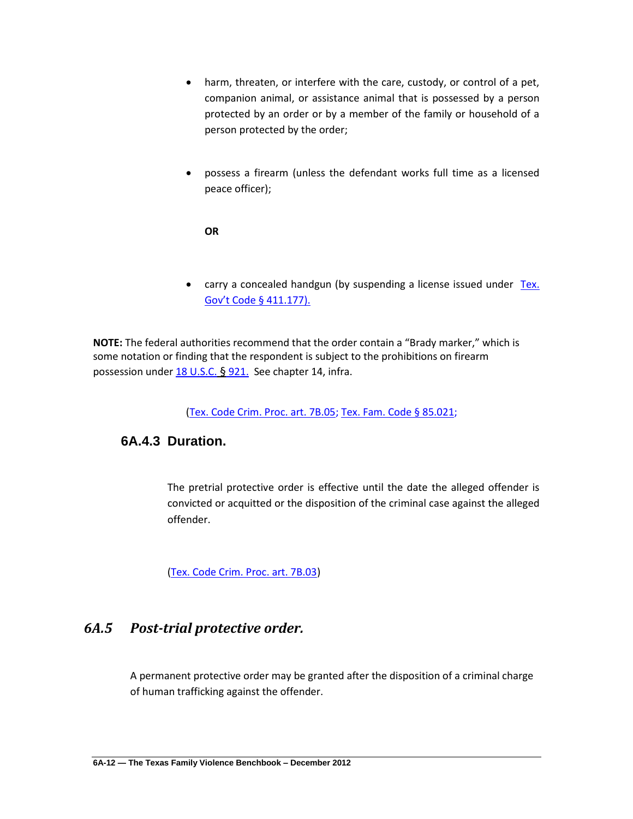- harm, threaten, or interfere with the care, custody, or control of a pet, companion animal, or assistance animal that is possessed by a person protected by an order or by a member of the family or household of a person protected by the order;
- possess a firearm (unless the defendant works full time as a licensed peace officer);

#### **OR**

• carry a concealed handgun (by suspending a license issued under Tex. [Gov't Code § 411.177\).](http://www.lexis.com/research/slft?cite=545820476F7665726E6D656E7420436F646520A7203431312E313737292E&keyenum=15452&keytnum=0)

**NOTE:** The federal authorities recommend that the order contain a "Brady marker," which is some notation or finding that the respondent is subject to the prohibitions on firearm possession under  $18$  U.S.C. § 921. See chapter 14, infra.

[\(Tex. Code Crim. Proc. art. 7B.05;](http://www.lexis.com/research/xlink?app=00075&view=full&searchtype=lt&search=Tex.+Code+Crim.+Proc.+art.+7B.05) [Tex. Fam. Code § 85.021;](http://www.lexis.com/research/slft?cite=54582046616D696C7920436F646520A72038352E303231&keyenum=15452&keytnum=0)

### **6A.4.3 Duration.**

The pretrial protective order is effective until the date the alleged offender is convicted or acquitted or the disposition of the criminal case against the alleged offender.

[\(Tex. Code Crim. Proc. art. 7B.03\)](http://www.lexis.com/research/xlink?app=00075&view=full&searchtype=lt&search=Tex.+Code+Crim.+Proc.+art.+7B.03)

## *6A.5 Post-trial protective order.*

A permanent protective order may be granted after the disposition of a criminal charge of human trafficking against the offender.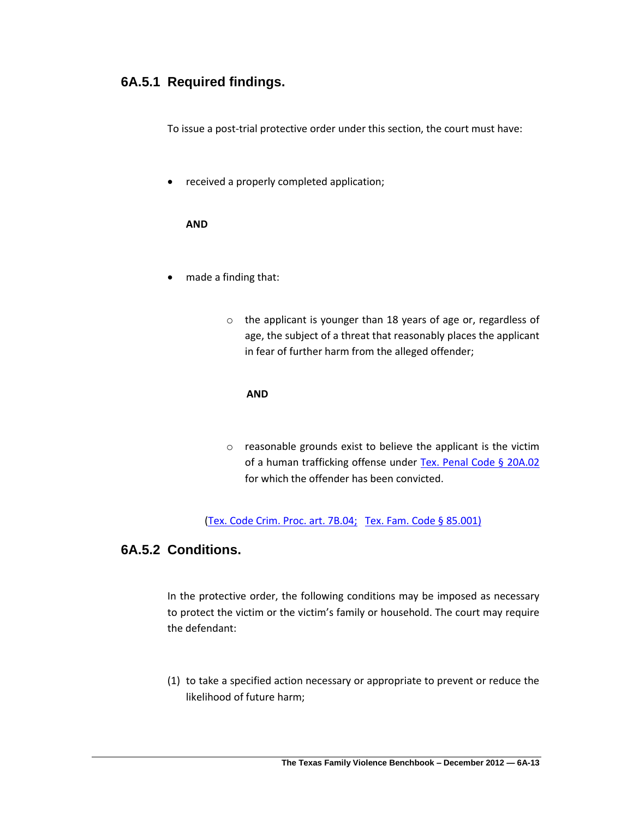## **6A.5.1 Required findings.**

To issue a post-trial protective order under this section, the court must have:

received a properly completed application;

#### **AND**

- made a finding that:
	- o the applicant is younger than 18 years of age or, regardless of age, the subject of a threat that reasonably places the applicant in fear of further harm from the alleged offender;

#### **AND**

o reasonable grounds exist to believe the applicant is the victim of a human trafficking offense under [Tex. Penal Code § 20A.02](http://www.lexis.com/research/xlink?app=00075&view=full&searchtype=lt&search=Tex.+Penal+Code+%A7+20A.02) for which the offender has been convicted.

[\(Tex. Code Crim. Proc. art. 7B.04;](http://www.lexis.com/research/xlink?app=00075&view=full&searchtype=lt&search=Tex.+Code+Crim.+Proc.+art.+7B.04) [Tex. Fam. Code § 85.001\)](http://www.lexis.com/research/slft?cite=54582046616D696C7920436F646520A72038352E30303129&keyenum=15452&keytnum=0)

## **6A.5.2 Conditions.**

In the protective order, the following conditions may be imposed as necessary to protect the victim or the victim's family or household. The court may require the defendant:

(1) to take a specified action necessary or appropriate to prevent or reduce the likelihood of future harm;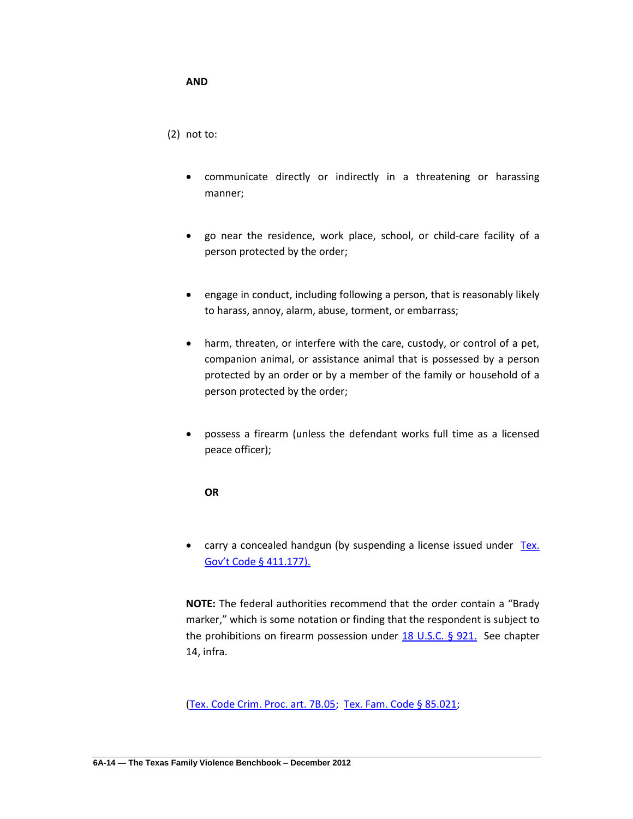#### **AND**

(2) not to:

- communicate directly or indirectly in a threatening or harassing manner;
- go near the residence, work place, school, or child-care facility of a person protected by the order;
- engage in conduct, including following a person, that is reasonably likely to harass, annoy, alarm, abuse, torment, or embarrass;
- harm, threaten, or interfere with the care, custody, or control of a pet, companion animal, or assistance animal that is possessed by a person protected by an order or by a member of the family or household of a person protected by the order;
- possess a firearm (unless the defendant works full time as a licensed peace officer);

#### **OR**

• carry a concealed handgun (by suspending a license issued under Tex. [Gov't Code § 411.177\).](http://www.lexis.com/research/slft?cite=545820476F7665726E6D656E7420436F646520A7203431312E313737292E&keyenum=15452&keytnum=0)

**NOTE:** The federal authorities recommend that the order contain a "Brady marker," which is some notation or finding that the respondent is subject to the prohibitions on firearm possession under [18 U.S.C. § 921.](http://www.lexis.com/research/slft?cite=31382055534320A7A720393231&keyenum=15452&keytnum=0) See chapter 14, infra.

[\(Tex. Code Crim. Proc. art. 7B.05;](http://www.lexis.com/research/xlink?app=00075&view=full&searchtype=lt&search=Tex.+Code+Crim.+Proc.+art.+7B.05) [Tex. Fam. Code § 85.021;](http://www.lexis.com/research/slft?cite=54582046616D696C7920436F646520A72038352E303231&keyenum=15452&keytnum=0)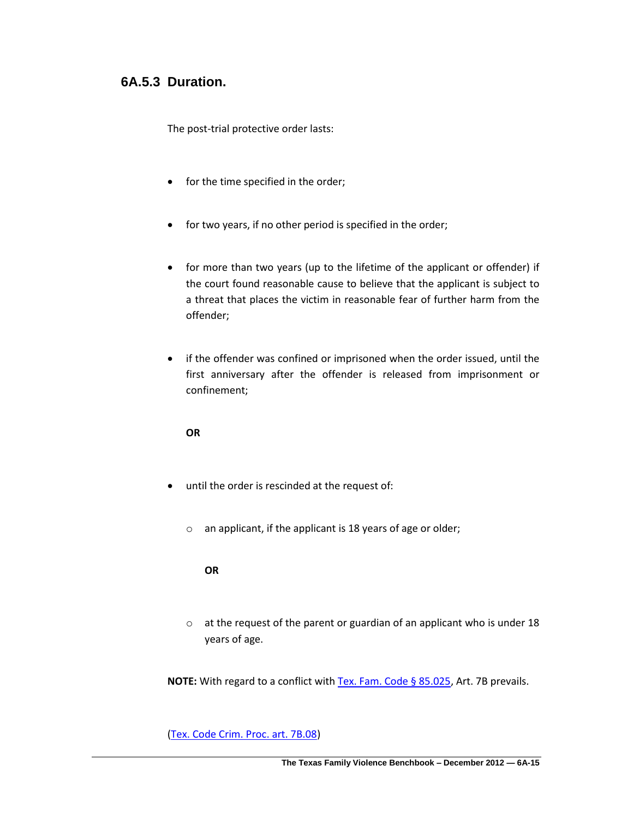### **6A.5.3 Duration.**

The post-trial protective order lasts:

- for the time specified in the order;
- for two years, if no other period is specified in the order;
- for more than two years (up to the lifetime of the applicant or offender) if the court found reasonable cause to believe that the applicant is subject to a threat that places the victim in reasonable fear of further harm from the offender;
- if the offender was confined or imprisoned when the order issued, until the first anniversary after the offender is released from imprisonment or confinement;

#### **OR**

- until the order is rescinded at the request of:
	- o an applicant, if the applicant is 18 years of age or older;

**OR** 

o at the request of the parent or guardian of an applicant who is under 18 years of age.

**NOTE:** With regard to a conflict wit[h Tex. Fam. Code § 85.025,](http://www.lexis.com/research/slft?cite=54582046616D696C7920436F646520A72038352E303235&keyenum=15452&keytnum=0) Art. 7B prevails.

[\(Tex. Code Crim. Proc. art. 7B.08\)](http://www.lexis.com/research/xlink?app=00075&view=full&searchtype=lt&search=Tex.+Code+Crim.+Proc.+art.+7B.08)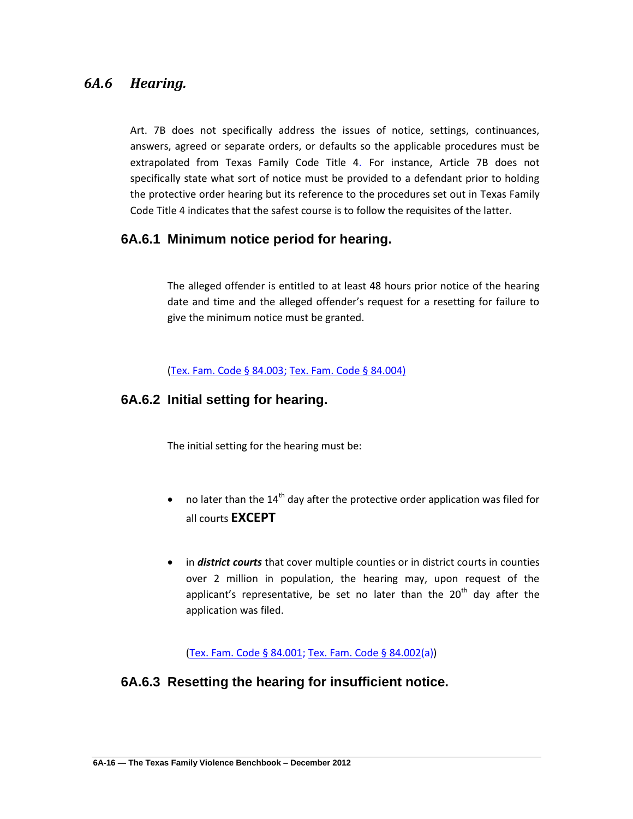## *6A.6 Hearing.*

Art. 7B does not specifically address the issues of notice, settings, continuances, answers, agreed or separate orders, or defaults so the applicable procedures must be extrapolated from Texas Family Code Title 4. For instance, Article 7B does not specifically state what sort of notice must be provided to a defendant prior to holding the protective order hearing but its reference to the procedures set out in Texas Family Code Title 4 indicates that the safest course is to follow the requisites of the latter.

## **6A.6.1 Minimum notice period for hearing.**

The alleged offender is entitled to at least 48 hours prior notice of the hearing date and time and the alleged offender's request for a resetting for failure to give the minimum notice must be granted.

[\(Tex. Fam. Code § 84.003;](http://www.lexis.com/research/slft?cite=54582046616D696C7920436F646520A72038342E303033&keyenum=15452&keytnum=0) [Tex. Fam. Code § 84.004\)](http://www.lexis.com/research/slft?cite=54582046616D696C7920436F646520A72038342E30303429&keyenum=15452&keytnum=0)

### **6A.6.2 Initial setting for hearing.**

The initial setting for the hearing must be:

- no later than the  $14<sup>th</sup>$  day after the protective order application was filed for all courts **EXCEPT**
- in *district courts* that cover multiple counties or in district courts in counties over 2 million in population, the hearing may, upon request of the applicant's representative, be set no later than the  $20<sup>th</sup>$  day after the application was filed.

[\(Tex. Fam. Code § 84.001;](http://www.lexis.com/research/slft?cite=54582046616D696C7920436F646520A72038342E303031&keyenum=15452&keytnum=0) [Tex. Fam. Code § 84.002\(](http://www.lexis.com/research/slft?cite=54582046616D696C7920436F646520A72038342E303032&keyenum=15452&keytnum=0)a))

## **6A.6.3 Resetting the hearing for insufficient notice.**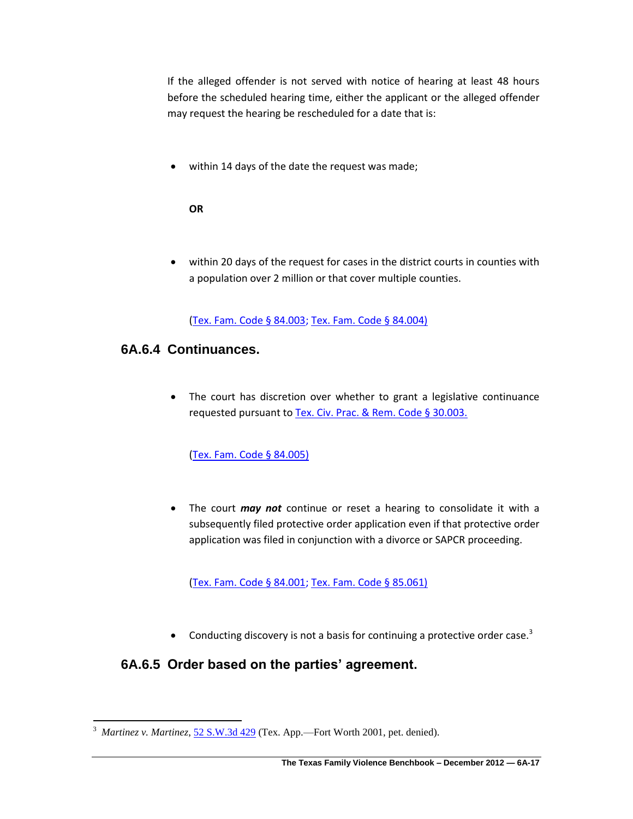If the alleged offender is not served with notice of hearing at least 48 hours before the scheduled hearing time, either the applicant or the alleged offender may request the hearing be rescheduled for a date that is:

within 14 days of the date the request was made;

#### **OR**

 within 20 days of the request for cases in the district courts in counties with a population over 2 million or that cover multiple counties.

[\(Tex. Fam. Code § 84.003;](http://www.lexis.com/research/slft?cite=54582046616D696C7920436F646520A72038342E303033&keyenum=15452&keytnum=0) [Tex. Fam. Code § 84.004\)](http://www.lexis.com/research/slft?cite=54582046616D696C7920436F646520A72038342E30303429&keyenum=15452&keytnum=0)

### **6A.6.4 Continuances.**

 $\overline{\phantom{a}}$ 

 The court has discretion over whether to grant a legislative continuance requested pursuant t[o Tex. Civ. Prac. & Rem. Code § 30.003.](http://www.lexis.com/research/slft?cite=54582043697620507261632052656D20436F646520A72033302E3030332E&keyenum=15452&keytnum=0) 

[\(Tex. Fam. Code § 84.005\)](http://www.lexis.com/research/slft?cite=54582046616D696C7920436F646520A72038342E30303529&keyenum=15452&keytnum=0)

 The court *may not* continue or reset a hearing to consolidate it with a subsequently filed protective order application even if that protective order application was filed in conjunction with a divorce or SAPCR proceeding.

[\(Tex. Fam. Code § 84.001;](http://www.lexis.com/research/slft?cite=54582046616D696C7920436F646520A72038342E303031&keyenum=15452&keytnum=0) [Tex. Fam. Code § 85.061\)](http://www.lexis.com/research/slft?cite=54582046616D696C7920436F646520A72038352E30363129&keyenum=15452&keytnum=0)

• Conducting discovery is not a basis for continuing a protective order case.<sup>3</sup>

## **6A.6.5 Order based on the parties' agreement.**

<sup>3</sup> *Martinez v. Martinez*, [52 S.W.3d 429](http://www.lexis.com/research/slft?cite=353220532E572E336420343239&keyenum=15451&keytnum=0) (Tex. App.—Fort Worth 2001, pet. denied).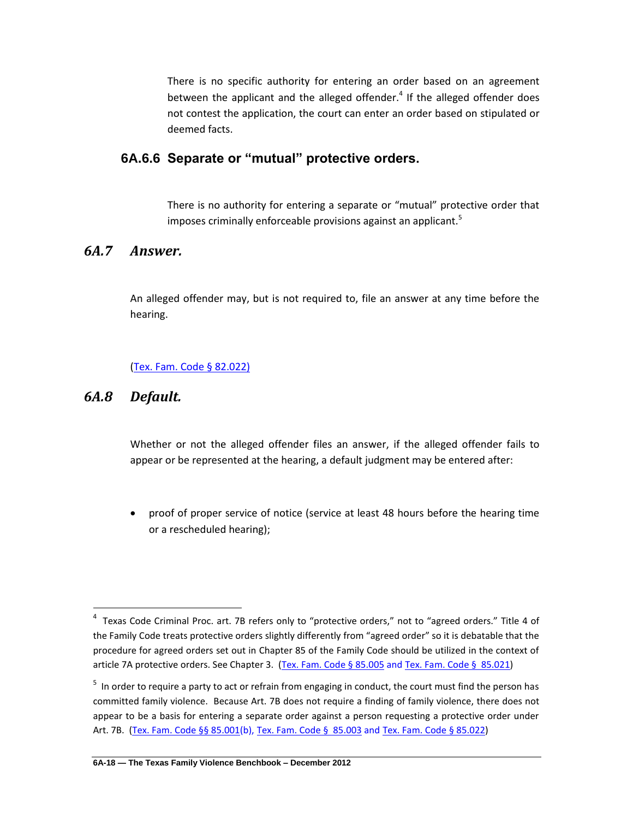There is no specific authority for entering an order based on an agreement between the applicant and the alleged offender.<sup>4</sup> If the alleged offender does not contest the application, the court can enter an order based on stipulated or deemed facts.

### **6A.6.6 Separate or "mutual" protective orders.**

There is no authority for entering a separate or "mutual" protective order that imposes criminally enforceable provisions against an applicant.<sup>5</sup>

## *6A.7 Answer.*

An alleged offender may, but is not required to, file an answer at any time before the hearing.

### [\(Tex. Fam. Code § 82.022\)](http://www.lexis.com/research/slft?cite=54582046616D696C7920436F646520A72038322E30323229&keyenum=15452&keytnum=0)

## *6A.8 Default.*

l

Whether or not the alleged offender files an answer, if the alleged offender fails to appear or be represented at the hearing, a default judgment may be entered after:

 proof of proper service of notice (service at least 48 hours before the hearing time or a rescheduled hearing);

<sup>&</sup>lt;sup>4</sup> Texas Code Criminal Proc. art. 7B refers only to "protective orders," not to "agreed orders." Title 4 of the Family Code treats protective orders slightly differently from "agreed order" so it is debatable that the procedure for agreed orders set out in Chapter 85 of the Family Code should be utilized in the context of article 7A protective orders. See Chapter 3. [\(Tex. Fam. Code § 85.005](http://www.lexis.com/research/slft?cite=54582046616D696C7920436F646520A7A72038352E303035&keyenum=15452&keytnum=0) and [Tex. Fam. Code § 85.021\)](http://www.lexis.com/research/xlink?app=00075&view=full&searchtype=lt&search=Tex.+Fam.+Code+%A7+85.021)

<sup>&</sup>lt;sup>5</sup> In order to require a party to act or refrain from engaging in conduct, the court must find the person has committed family violence. Because Art. 7B does not require a finding of family violence, there does not appear to be a basis for entering a separate order against a person requesting a protective order under Art. 7B. [\(Tex. Fam. Code §§ 85.001\(](http://www.lexis.com/research/slft?cite=54582046616D696C7920436F646520A7A72038352E303031&keyenum=15452&keytnum=0)b), [Tex. Fam. Code § 85.003](http://www.lexis.com/research/xlink?app=00075&view=full&searchtype=lt&search=Tex.+Fam.+Code+%A7+85.003) and [Tex. Fam. Code § 85.022\)](http://www.lexis.com/research/xlink?app=00075&view=full&searchtype=lt&search=Tex.+Fam.+Code+%A7+85.022)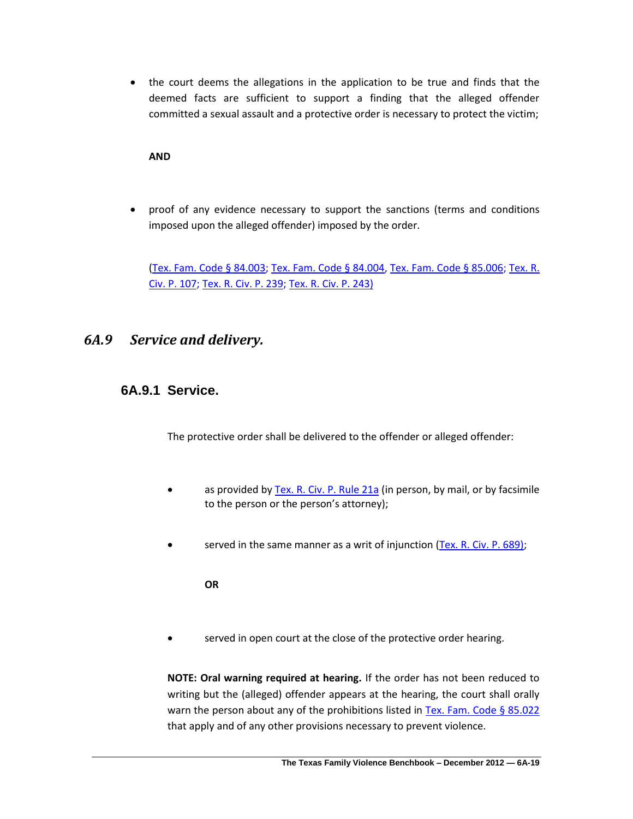the court deems the allegations in the application to be true and finds that the deemed facts are sufficient to support a finding that the alleged offender committed a sexual assault and a protective order is necessary to protect the victim;

#### **AND**

 proof of any evidence necessary to support the sanctions (terms and conditions imposed upon the alleged offender) imposed by the order.

[\(Tex. Fam. Code § 84.003;](http://www.lexis.com/research/slft?cite=54582046616D696C7920436F646520A72038342E303033&keyenum=15452&keytnum=0) [Tex. Fam. Code § 84.004,](http://www.lexis.com/research/slft?cite=54582046616D696C7920436F646520A72038342E303034&keyenum=15452&keytnum=0) [Tex. Fam. Code § 85.006;](http://www.lexis.com/research/slft?cite=54582046616D696C7920436F646520A72038352E303036&keyenum=15452&keytnum=0) [Tex. R.](http://www.lexis.com/research/slft?cite=5465782E20522E204369762E20502E20313037&keyenum=15452&keytnum=0)  [Civ. P. 107;](http://www.lexis.com/research/slft?cite=5465782E20522E204369762E20502E20313037&keyenum=15452&keytnum=0) [Tex. R. Civ. P. 239;](http://www.lexis.com/research/slft?cite=5465782E20522E204369762E20502E20323339&keyenum=15452&keytnum=0) [Tex. R. Civ. P. 243\)](http://www.lexis.com/research/slft?cite=5465782E20522E204369762E20502E2032343329&keyenum=15452&keytnum=0)

### *6A.9 Service and delivery.*

### **6A.9.1 Service.**

The protective order shall be delivered to the offender or alleged offender:

- as provided by [Tex. R. Civ. P. Rule 21a](http://www.lexis.com/research/slft?cite=5465782E20522E204369762E20502E2052756C6520323161&keyenum=15452&keytnum=0) (in person, by mail, or by facsimile to the person or the person's attorney);
- served in the same manner as a writ of injunction [\(Tex. R. Civ. P. 689\);](http://www.lexis.com/research/slft?cite=5465782E20522E204369762E20502E2036383929&keyenum=15452&keytnum=0)

**OR**

served in open court at the close of the protective order hearing.

**NOTE: Oral warning required at hearing.** If the order has not been reduced to writing but the (alleged) offender appears at the hearing, the court shall orally warn the person about any of the prohibitions listed in [Tex. Fam. Code § 85.022](http://www.lexis.com/research/slft?cite=54582046616D696C7920436F646520A72038352E303232&keyenum=15452&keytnum=0) that apply and of any other provisions necessary to prevent violence.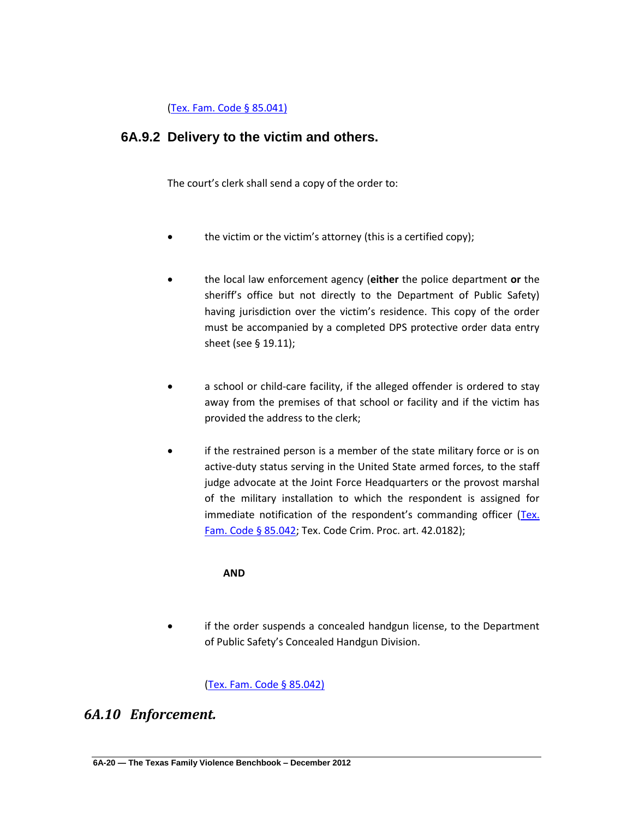[\(Tex. Fam. Code § 85.041\)](http://www.lexis.com/research/slft?cite=54582046616D696C7920436F646520A72038352E30343129&keyenum=15452&keytnum=0)

## **6A.9.2 Delivery to the victim and others.**

The court's clerk shall send a copy of the order to:

- the victim or the victim's attorney (this is a certified copy);
- the local law enforcement agency (**either** the police department **or** the sheriff's office but not directly to the Department of Public Safety) having jurisdiction over the victim's residence. This copy of the order must be accompanied by a completed DPS protective order data entry sheet (see § 19.11);
- a school or child-care facility, if the alleged offender is ordered to stay away from the premises of that school or facility and if the victim has provided the address to the clerk;
- if the restrained person is a member of the state military force or is on active-duty status serving in the United State armed forces, to the staff judge advocate at the Joint Force Headquarters or the provost marshal of the military installation to which the respondent is assigned for immediate notification of the respondent's commanding officer ([Tex.](http://www.lexis.com/research/slft?cite=54582046616D696C7920436F646520A72038352E303432&keyenum=15452&keytnum=0)  [Fam. Code § 85.042;](http://www.lexis.com/research/slft?cite=54582046616D696C7920436F646520A72038352E303432&keyenum=15452&keytnum=0) Tex. Code Crim. Proc. art. 42.0182);

### **AND**

 if the order suspends a concealed handgun license, to the Department of Public Safety's Concealed Handgun Division.

[\(Tex. Fam. Code § 85.042\)](http://www.lexis.com/research/slft?cite=54582046616D696C7920436F646520A72038352E30343229&keyenum=15452&keytnum=0)

### *6A.10 Enforcement.*